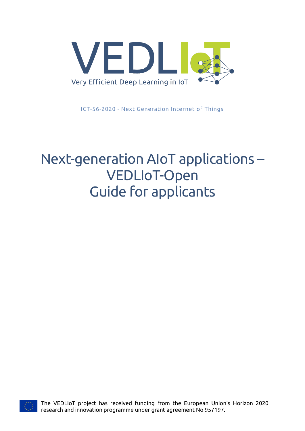

ICT-56-2020 - Next Generation Internet of Things

# Next-generation AIoT applications – VEDLIoT-Open Guide for applicants



The VEDLIoT project has received funding from the European Union's Horizon 2020 research and innovation programme under grant agreement No 957197.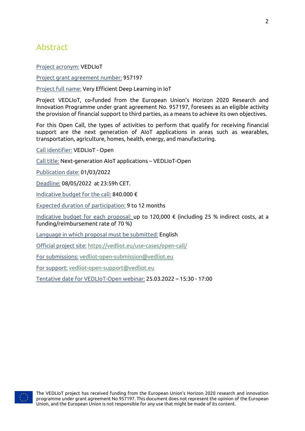# <span id="page-1-0"></span>Abstract

Project acronym: VEDLIoT

Project grant agreement number: 957197

Project full name: Very Efficient Deep Learning in IoT

Project VEDLIoT, co-funded from the European Union's Horizon 2020 Research and Innovation Programme under grant agreement No. 957197, foresees as an eligible activity the provision of financial support to third parties, as a means to achieve its own objectives.

For this Open Call, the types of activities to perform that qualify for receiving financial support are the next generation of AIoT applications in areas such as wearables, transportation, agriculture, homes, health, energy, and manufacturing.

Call identifier: VEDLIoT - Open

Call title: Next-generation AIoT applications – VEDLIoT-Open

Publication date: 01/03/2022

Deadline: 08/05/2022 at 23:59h CET.

Indicative budget for the call: 840.000 €

Expected duration of participation: 9 to 12 months

Indicative budget for each proposal: up to 120,000 € (including 25 % indirect costs, at a funding/reimbursement rate of 70 %)

Language in which proposal must be submitted: English

Official project site: <https://vedliot.eu/use-cases/open-call/>

For submissions: [vedliot-open-submission@vedliot.eu](mailto:vedliot-open-submission@vedliot.eu)

For support: [vedliot-open-support@vedliot.eu](mailto:vedliot-open-support@vedliot.eu)

Tentative date for VEDLIoT-Open webinar: 25.03.2022 – 15:30 - 17:00

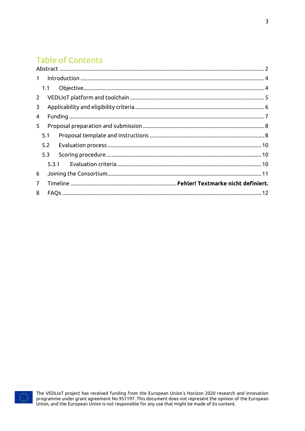# **Table of Contents**

| $\mathbf{1}$   |     |       |  |  |  |  |  |  |
|----------------|-----|-------|--|--|--|--|--|--|
|                | 1.1 |       |  |  |  |  |  |  |
| $2^{\circ}$    |     |       |  |  |  |  |  |  |
| 3              |     |       |  |  |  |  |  |  |
| 4              |     |       |  |  |  |  |  |  |
| 5              |     |       |  |  |  |  |  |  |
|                | 5.1 |       |  |  |  |  |  |  |
|                | 5.2 |       |  |  |  |  |  |  |
|                | 5.3 |       |  |  |  |  |  |  |
|                |     | 5.3.1 |  |  |  |  |  |  |
| 6              |     |       |  |  |  |  |  |  |
| $\overline{7}$ |     |       |  |  |  |  |  |  |
| 8              |     |       |  |  |  |  |  |  |
|                |     |       |  |  |  |  |  |  |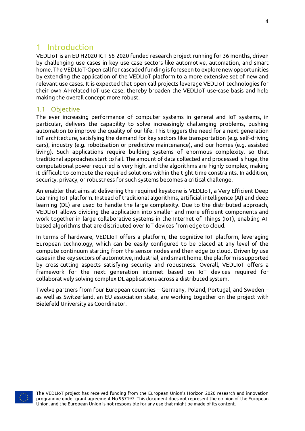# <span id="page-3-0"></span>1 Introduction

VEDLIoT is an EU H2020 ICT-56-2020 funded research project running for 36 months, driven by challenging use cases in key use case sectors like automotive, automation, and smart home. The VEDLIoT-Open call for cascaded funding is foreseen to explore new opportunities by extending the application of the VEDLIoT platform to a more extensive set of new and relevant use cases. It is expected that open call projects leverage VEDLIoT technologies for their own AI-related IoT use case, thereby broaden the VEDLIoT use-case basis and help making the overall concept more robust.

### <span id="page-3-1"></span>1.1 Objective

The ever increasing performance of computer systems in general and IoT systems, in particular, delivers the capability to solve increasingly challenging problems, pushing automation to improve the quality of our life. This triggers the need for a next-generation IoT architecture, satisfying the demand for key sectors like transportation (e.g. self-driving cars), industry (e.g. robotisation or predictive maintenance), and our homes (e.g. assisted living). Such applications require building systems of enormous complexity, so that traditional approaches start to fail. The amount of data collected and processed is huge, the computational power required is very high, and the algorithms are highly complex, making it difficult to compute the required solutions within the tight time constraints. In addition, security, privacy, or robustness for such systems becomes a critical challenge.

An enabler that aims at delivering the required keystone is VEDLIoT, a Very Efficient Deep Learning IoT platform. Instead of traditional algorithms, artificial intelligence (AI) and deep learning (DL) are used to handle the large complexity. Due to the distributed approach, VEDLIoT allows dividing the application into smaller and more efficient components and work together in large collaborative systems in the Internet of Things (IoT), enabling AIbased algorithms that are distributed over IoT devices from edge to cloud.

In terms of hardware, VEDLIoT offers a platform, the cognitive IoT platform, leveraging European technology, which can be easily configured to be placed at any level of the compute continuum starting from the sensor nodes and then edge to cloud. Driven by use cases in the key sectors of automotive, industrial, and smart home, the platform is supported by cross-cutting aspects satisfying security and robustness. Overall, VEDLIoT offers a framework for the next generation internet based on IoT devices required for collaboratively solving complex DL applications across a distributed system.

Twelve partners from four European countries – Germany, Poland, Portugal, and Sweden – as well as Switzerland, an EU association state, are working together on the project with Bielefeld University as Coordinator.

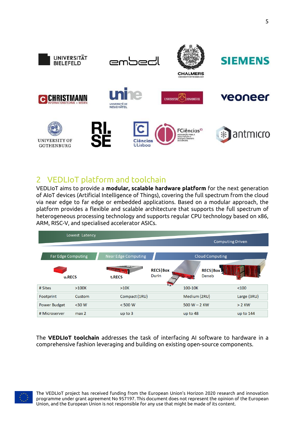

# <span id="page-4-0"></span>2 VEDLIoT platform and toolchain

VEDLIoT aims to provide a **modular, scalable hardware platform** for the next generation of AIoT devices (Artificial Intelligence of Things), covering the full spectrum from the cloud via near edge to far edge or embedded applications. Based on a modular approach, the platform provides a flexible and scalable architecture that supports the full spectrum of heterogeneous processing technology and supports regular CPU technology based on x86, ARM, RISC-V, and specialised accelerator ASICs.

|                           | Lowest Latency   |                            |                                 |                              |               |  |
|---------------------------|------------------|----------------------------|---------------------------------|------------------------------|---------------|--|
|                           |                  |                            | <b>Computing Driven</b>         |                              |               |  |
| <b>Far Edge Computing</b> |                  | <b>Near Edge Computing</b> | <b>Cloud Computing</b>          |                              |               |  |
| u.RECS                    |                  | ДY.<br>t.RECS              | <b>RECS Box</b><br><b>Durin</b> | <b>RECS   Box 3</b><br>Deneb |               |  |
| # Sites                   | >100K            | >10K                       |                                 | 100-10K                      | $<$ 100       |  |
| Footprint                 | Custom           | Compact (1RU)              |                                 | Medium (2RU)                 | Large $(3RU)$ |  |
| <b>Power Budget</b>       | $30 W$           | < 500 W                    |                                 | 500 $W - 2$ KW               | $> 2$ KW      |  |
| # Microserver             | max <sub>2</sub> | up to 3                    |                                 | up to 48                     | up to 144     |  |

The **VEDLIoT toolchain** addresses the task of interfacing AI software to hardware in a comprehensive fashion leveraging and building on existing open-source components.

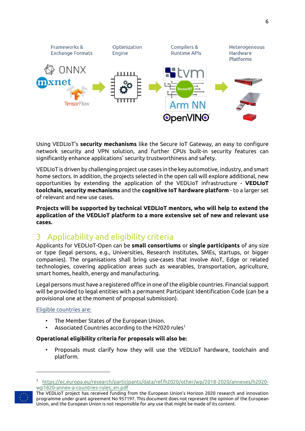

Using VEDLIoT's **security mechanisms** like the Secure IoT Gateway, an easy to configure network security and VPN solution, and further CPUs built-in security features can significantly enhance applications' security trustworthiness and safety.

VEDLIoT is driven by challenging project use cases in the key automotive, industry, and smart home sectors. In addition, the projects selected in the open call will explore additional, new opportunities by extending the application of the VEDLIoT infrastructure - **VEDLIoT toolchain, security mechanisms** and the **cognitive IoT hardware platform** - to a larger set of relevant and new use cases.

**Projects will be supported by technical VEDLIoT mentors, who will help to extend the application of the VEDLIoT platform to a more extensive set of new and relevant use cases.** 

# <span id="page-5-0"></span>3 Applicability and eligibility criteria

Applicants for VEDLIoT-Open can be **small consortiums** or **single participants** of any size or type (legal persons, e.g., Universities, Research Institutes, SMEs, startups, or bigger companies). The organisations shall bring use-cases that involve AIoT, Edge or related technologies, covering application areas such as wearables, transportation, agriculture, smart homes, health, energy and manufacturing.

Legal persons must have a registered office in one of the eligible countries. Financial support will be provided to legal entities with a permanent Participant Identification Code (can be a provisional one at the moment of proposal submission).

#### Eligible countries are:

- The Member States of the European Union.
- Associated Countries according to the H2020 rules<sup>1</sup>

#### **Operational eligibility criteria for proposals will also be:**

• Proposals must clarify how they will use the VEDLIoT hardware, toolchain and platform.

<sup>1</sup> [https://ec.europa.eu/research/participants/data/ref/h2020/other/wp/2018-2020/annexes/h2020](https://ec.europa.eu/research/participants/data/ref/h2020/other/wp/2018-2020/annexes/h2020-wp1820-annex-a-countries-rules_en.pdf) [wp1820-annex-a-countries-rules\\_en.pdf](https://ec.europa.eu/research/participants/data/ref/h2020/other/wp/2018-2020/annexes/h2020-wp1820-annex-a-countries-rules_en.pdf)

The VEDLIoT project has received funding from the European Union's Horizon 2020 research and innovation programme under grant agreement No 957197. This document does not represent the opinion of the European Union, and the European Union is not responsible for any use that might be made of its content.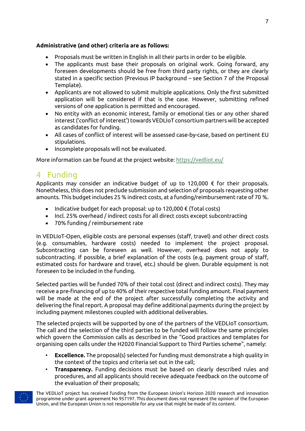### **Administrative (and other) criteria are as follows:**

- Proposals must be written in English in all their parts in order to be eligible.
- The applicants must base their proposals on original work. Going forward, any foreseen developments should be free from third party rights, or they are clearly stated in a specific section (Previous IP background – see Section 7 of the Proposal Template).
- Applicants are not allowed to submit multiple applications. Only the first submitted application will be considered if that is the case. However, submitting refined versions of one application is permitted and encouraged.
- No entity with an economic interest, family or emotional ties or any other shared interest ('conflict of interest') towards VEDLIoT consortium partners will be accepted as candidates for funding.
- All cases of conflict of interest will be assessed case-by-case, based on pertinent EU stipulations.
- Incomplete proposals will not be evaluated.

More information can be found at the project website:<https://vedliot.eu/>

# <span id="page-6-0"></span>4 Funding

Applicants may consider an indicative budget of up to 120,000 € for their proposals. Nonetheless, this does not preclude submission and selection of proposals requesting other amounts. This budget includes 25 % indirect costs, at a funding/reimbursement rate of 70 %.

- Indicative budget for each proposal: up to 120,000  $\epsilon$  (Total costs)
- Incl. 25% overhead / indirect costs for all direct costs except subcontracting
- 70% funding / reimbursement rate

In VEDLIoT-Open, eligible costs are personal expenses (staff, travel) and other direct costs (e.g. consumables, hardware costs) needed to implement the project proposal. Subcontracting can be foreseen as well. However, overhead does not apply to subcontracting. If possible, a brief explanation of the costs (e.g. payment group of staff, estimated costs for hardware and travel, etc.) should be given. Durable equipment is not foreseen to be included in the funding.

Selected parties will be funded 70% of their total cost (direct and indirect costs). They may receive a pre-financing of up to 40% of their respective total funding amount. Final payment will be made at the end of the project after successfully completing the activity and delivering the final report. A proposal may define additional payments during the project by including payment milestones coupled with additional deliverables.

The selected projects will be supported by one of the partners of the VEDLIoT consortium. The call and the selection of the third parties to be funded will follow the same principles which govern the Commission calls as described in the "Good practices and templates for organising open calls under the H2020 Financial Support to Third Parties scheme", namely:

- **Excellence.** The proposal(s) selected for funding must demonstrate a high quality in the context of the topics and criteria set out in the call;
- **Transparency.** Funding decisions must be based on clearly described rules and procedures, and all applicants should receive adequate feedback on the outcome of the evaluation of their proposals;

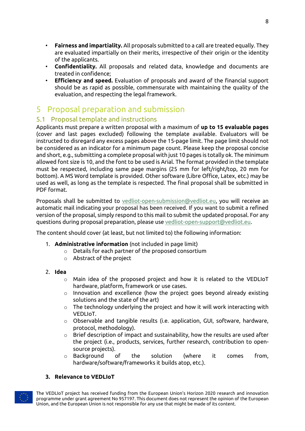- **Fairness and impartiality.** All proposals submitted to a call are treated equally. They are evaluated impartially on their merits, irrespective of their origin or the identity of the applicants.
- **Confidentiality.** All proposals and related data, knowledge and documents are treated in confidence;
- **Efficiency and speed.** Evaluation of proposals and award of the financial support should be as rapid as possible, commensurate with maintaining the quality of the evaluation, and respecting the legal framework.

# <span id="page-7-0"></span>5 Proposal preparation and submission

### <span id="page-7-1"></span>5.1 Proposal template and instructions

Applicants must prepare a written proposal with a maximum of **up to 15 evaluable pages** (cover and last pages excluded) following the template available. Evaluators will be instructed to disregard any excess pages above the 15-page limit. The page limit should not be considered as an indicator for a minimum page count. Please keep the proposal concise and short, e.g., submitting a complete proposal with just 10 pages is totally ok. The minimum allowed font size is 10, and the font to be used is Arial. The format provided in the template must be respected, including same page margins (25 mm for left/right/top, 20 mm for bottom). A MS Word template is provided. Other software (Libre Office, Latex, etc.) may be used as well, as long as the template is respected. The final proposal shall be submitted in PDF format.

Proposals shall be submitted to [vedliot-open-submission@vedliot.eu,](mailto:vedliot-open-submission@vedliot.eu) you will receive an automatic mail indicating your proposal has been received. If you want to submit a refined version of the proposal, simply respond to this mail to submit the updated proposal. For any questions during proposal preparation, please use [vedliot-open-support@vedliot.eu.](mailto:vedliot-open-support@vedliot.eu)

The content should cover (at least, but not limited to) the following information:

- 1. **Administrative information** (not included in page limit)
	- o Details for each partner of the proposed consortium
	- o Abstract of the project
- 2. **Idea**
	- o Main idea of the proposed project and how it is related to the VEDLIoT hardware, platform, framework or use cases.
	- $\circ$  Innovation and excellence (how the project goes beyond already existing solutions and the state of the art)
	- o The technology underlying the project and how it will work interacting with VEDLIoT.
	- $\circ$  Observable and tangible results (i.e. application, GUI, software, hardware, protocol, methodology).
	- $\circ$  Brief description of impact and sustainability, how the results are used after the project (i.e., products, services, further research, contribution to opensource projects).
	- $\circ$  Background of the solution (where it comes from, hardware/software/frameworks it builds atop, etc.).

### **3. Relevance to VEDLIoT**

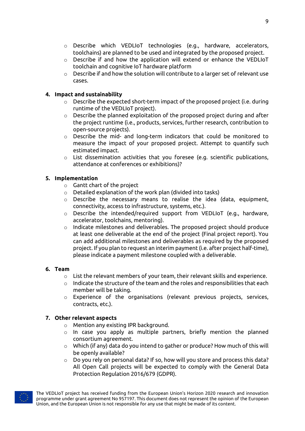- o Describe which VEDLIoT technologies (e.g., hardware, accelerators, toolchains) are planned to be used and integrated by the proposed project.
- $\circ$  Describe if and how the application will extend or enhance the VEDLIoT toolchain and cognitive IoT hardware platform
- o Describe if and how the solution will contribute to a larger set of relevant use cases.

### **4. Impact and sustainability**

- o Describe the expected short-term impact of the proposed project (i.e. during runtime of the VEDLIoT project).
- $\circ$  Describe the planned exploitation of the proposed project during and after the project runtime (i.e., products, services, further research, contribution to open-source projects).
- o Describe the mid- and long-term indicators that could be monitored to measure the impact of your proposed project. Attempt to quantify such estimated impact.
- o List dissemination activities that you foresee (e.g. scientific publications, attendance at conferences or exhibitions)?

### **5. Implementation**

- $\circ$  Gantt chart of the project
- o Detailed explanation of the work plan (divided into tasks)
- $\circ$  Describe the necessary means to realise the idea (data, equipment, connectivity, access to infrastructure, systems, etc.).
- o Describe the intended/required support from VEDLIoT (e.g., hardware, accelerator, toolchains, mentoring).
- o Indicate milestones and deliverables. The proposed project should produce at least one deliverable at the end of the project (Final project report). You can add additional milestones and deliverables as required by the proposed project. If you plan to request an interim payment (i.e. after project half-time), please indicate a payment milestone coupled with a deliverable.

#### **6. Team**

- $\circ$  List the relevant members of your team, their relevant skills and experience.
- $\circ$  Indicate the structure of the team and the roles and responsibilities that each member will be taking.
- $\circ$  Experience of the organisations (relevant previous projects, services, contracts, etc.).

#### **7. Other relevant aspects**

- o Mention any existing IPR background.
- o In case you apply as multiple partners, briefly mention the planned consortium agreement.
- $\circ$  Which (if any) data do you intend to gather or produce? How much of this will be openly available?
- $\circ$  Do you rely on personal data? If so, how will you store and process this data? All Open Call projects will be expected to comply with the General Data Protection Regulation 2016/679 (GDPR).

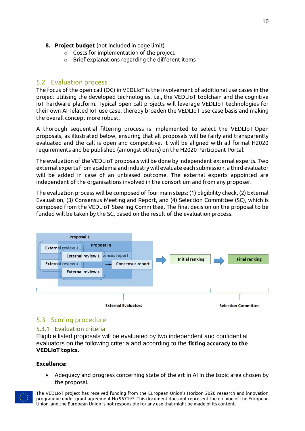- **8. Project budget** (not included in page limit)
	- o Costs for implementation of the project
	- o Brief explanations regarding the different items

#### <span id="page-9-0"></span>5.2 Evaluation process

The focus of the open call (OC) in VEDLIoT is the involvement of additional use cases in the project utilising the developed technologies, i.e., the VEDLIoT toolchain and the cognitive IoT hardware platform. Typical open call projects will leverage VEDLIoT technologies for their own AI-related IoT use case, thereby broaden the VEDLIoT use-case basis and making the overall concept more robust.

A thorough sequential filtering process is implemented to select the VEDLIoT-Open proposals, as illustrated below, ensuring that all proposals will be fairly and transparently evaluated and the call is open and competitive. It will be aligned with all formal H2020 requirements and be published (amongst others) on the H2020 Participant Portal.

The evaluation of the VEDLIoT proposals will be done by independent external experts. Two external experts from academia and industry will evaluate each submission, a third evaluator will be added in case of an unbiased outcome. The external experts appointed are independent of the organisations involved in the consortium and from any proposer.

The evaluation process will be composed of four main steps: (1) Eligibility check, (2) External Evaluation, (3) Consensus Meeting and Report, and (4) Selection Committee (SC), which is composed from the VEDLIoT Steering Committee. The final decision on the proposal to be funded will be taken by the SC, based on the result of the evaluation process.



### <span id="page-9-1"></span>5.3 Scoring procedure

#### <span id="page-9-2"></span>5.3.1 Evaluation criteria

Eligible listed proposals will be evaluated by two independent and confidential evaluators on the following criteria and according to the **fitting accuracy to the VEDLIoT topics.**

#### **Excellence:**

• Adequacy and progress concerning state of the art in AI in the topic area chosen by the proposal.

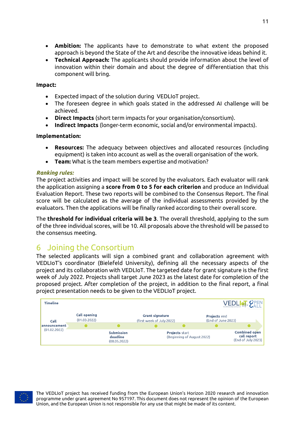- **Ambition:** The applicants have to demonstrate to what extent the proposed approach is beyond the State of the Art and describe the innovative ideas behind it.
- **Technical Approach:** The applicants should provide information about the level of innovation within their domain and about the degree of differentiation that this component will bring.

#### **Impact:**

- Expected impact of the solution during VEDLIoT project.
- The foreseen degree in which goals stated in the addressed AI challenge will be achieved.
- **Direct Impacts** (short term impacts for your organisation/consortium).
- **Indirect Impacts** (longer-term economic, social and/or environmental impacts).

#### **Implementation:**

- **Resources:** The adequacy between objectives and allocated resources (including equipment) is taken into account as well as the overall organisation of the work.
- **Team:** What is the team members expertise and motivation?

#### *Ranking rules:*

The project activities and impact will be scored by the evaluators. Each evaluator will rank the application assigning a **score from 0 to 5 for each criterion** and produce an Individual Evaluation Report. These two reports will be combined to the Consensus Report. The final score will be calculated as the average of the individual assessments provided by the evaluators. Then the applications will be finally ranked according to their overall score.

The **threshold for individual criteria will be 3**. The overall threshold, applying to the sum of the three individual scores, will be 10. All proposals above the threshold will be passed to the consensus meeting.

# <span id="page-10-0"></span>6 Joining the Consortium

The selected applicants will sign a combined grant and collaboration agreement with VEDLIoT's coordinator (Bielefeld University), defining all the necessary aspects of the project and its collaboration with VEDLIoT. The targeted date for grant signature is the first week of July 2022. Projects shall target June 2023 as the latest date for completion of the proposed project. After completion of the project, in addition to the final report, a final project presentation needs to be given to the VEDLIoT project.



<span id="page-10-1"></span>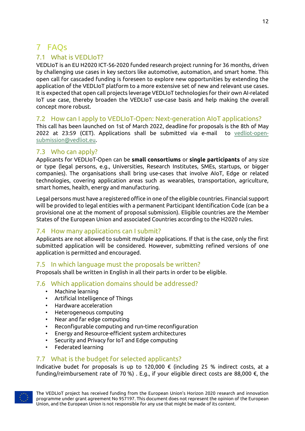# 7 FAQs

### 7.1 What is VEDLIoT?

VEDLIoT is an EU H2020 ICT-56-2020 funded research project running for 36 months, driven by challenging use cases in key sectors like automotive, automation, and smart home. This open call for cascaded funding is foreseen to explore new opportunities by extending the application of the VEDLIoT platform to a more extensive set of new and relevant use cases. It is expected that open call projects leverage VEDLIoT technologies for their own AI-related IoT use case, thereby broaden the VEDLIoT use-case basis and help making the overall concept more robust.

### 7.2 How can I apply to VEDLIoT-Open: Next-generation AIoT applications?

This call has been launched on 1st of March 2022, deadline for proposals is the 8th of May 2022 at 23:59 (CET). Applications shall be submitted via e-mail to [vedliot-open](mailto:vedliot-open-submission@vedliot.eu)[submission@vedliot.eu.](mailto:vedliot-open-submission@vedliot.eu)

### 7.3 Who can apply?

Applicants for VEDLIoT-Open can be **small consortiums** or **single participants** of any size or type (legal persons, e.g., Universities, Research Institutes, SMEs, startups, or bigger companies). The organisations shall bring use-cases that involve AIoT, Edge or related technologies, covering application areas such as wearables, transportation, agriculture, smart homes, health, energy and manufacturing.

Legal persons must have a registered office in one of the eligible countries. Financial support will be provided to legal entities with a permanent Participant Identification Code (can be a provisional one at the moment of proposal submission). Eligible countries are the Member States of the European Union and associated Countries according to the H2020 rules.

### 7.4 How many applications can I submit?

Applicants are not allowed to submit multiple applications. If that is the case, only the first submitted application will be considered. However, submitting refined versions of one application is permitted and encouraged.

### 7.5 In which language must the proposals be written?

Proposals shall be written in English in all their parts in order to be eligible.

### 7.6 Which application domains should be addressed?

- Machine learning
- Artificial Intelligence of Things
- Hardware acceleration
- Heterogeneous computing
- Near and far edge computing
- Reconfigurable computing and run-time reconfiguration
- Energy and Resource-efficient system architectures
- Security and Privacy for IoT and Edge computing
- Federated learning

### 7.7 What is the budget for selected applicants?

Indicative budet for proposals is up to 120,000 € (including 25 % indirect costs, at a funding/reimbursement rate of 70 %) . E.g., if your eligible direct costs are 88,000 €, the

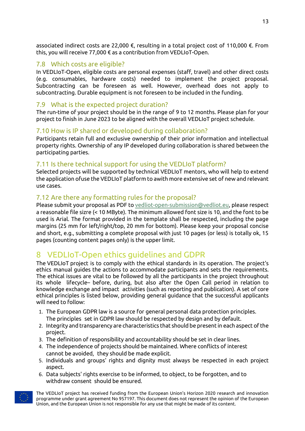associated indirect costs are 22,000 €, resulting in a total project cost of 110,000 €. From this, you will receive 77,000 € as a contribution from VEDLIoT-Open.

### 7.8 Which costs are eligible?

In VEDLIoT-Open, eligible costs are personal expenses (staff, travel) and other direct costs (e.g. consumables, hardware costs) needed to implement the project proposal. Subcontracting can be foreseen as well. However, overhead does not apply to subcontracting. Durable equipment is not foreseen to be included in the funding.

### 7.9 What is the expected project duration?

The run-time of your project should be in the range of 9 to 12 months. Please plan for your project to finish in June 2023 to be aligned with the overall VEDLIoT project schedule.

### 7.10 How is IP shared or developed during collaboration?

Participants retain full and exclusive ownership of their prior information and intellectual property rights. Ownership of any IP developed during collaboration is shared between the participating parties.

### 7.11 Is there technical support for using the VEDLIoT platform?

Selected projects will be supported by technical VEDLIoT mentors, who will help to extend the application ofuse the VEDLIoT platform to awith more extensive set of new and relevant use cases.

### 7.12 Are there any formatting rules for the proposal?

Please submit your proposal as PDF to [vedliot-open-submission@vedliot.eu,](mailto:vedliot-open-submission@vedliot.eu) please respect a reasonable file sizre (< 10 MByte). The minimum allowed font size is 10, and the font to be used is Arial. The format provided in the template shall be respected, including the page margins (25 mm for left/right/top, 20 mm for bottom). Please keep your proposal concise and short, e.g., submitting a complete proposal with just 10 pages (or less) is totally ok, 15 pages (counting content pages only) is the upper limit.

# 8 VEDLIoT-Open ethics guidelines and GDPR

The VEDLIoT project is to comply with the ethical standards in its operation. The project's ethics manual guides the actions to accommodate participants and sets the requirements. The ethical issues are vital to be followed by all the participants in the project throughout its whole lifecycle– before, during, but also after the Open Call period in relation to knowledge exchange and impact activities (such as reporting and publication). A set of core ethical principles is listed below, providing general guidance that the successful applicants will need to follow:

- 1. The European GDPR law is a source for general personal data protection principles. The principles set in GDPR law should be respected by design and by default.
- 2. Integrity and transparency are characteristics that should be present in each aspect of the project.
- 3. The definition of responsibility and accountability should be set in clear lines.
- 4. The independence of projects should be maintained. Where conflicts of interest cannot be avoided, they should be made explicit.
- 5. Individuals and groups' rights and dignity must always be respected in each project aspect.
- 6. Data subjects' rights exercise to be informed, to object, to be forgotten, and to withdraw consent should be ensured.

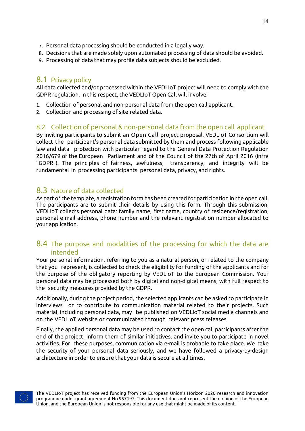- 7. Personal data processing should be conducted in a legally way.
- 8. Decisions that are made solely upon automated processing of data should be avoided.
- 9. Processing of data that may profile data subjects should be excluded.

## 8.1 Privacy policy

All data collected and/or processed within the VEDLIoT project will need to comply with the GDPR regulation. In this respect, the VEDLIoT Open Call will involve:

- 1. Collection of personal and non-personal data from the open call applicant.
- 2. Collection and processing of site-related data.

### 8.2 Collection of personal & non-personal data from the open call applicant

By inviting participants to submit an Open Call project proposal, VEDLIoT Consortium will collect the participant's personal data submitted by them and process following applicable law and data protection with particular regard to the General Data Protection Regulation 2016/679 of the European Parliament and of the Council of the 27th of April 2016 (infra "GDPR"). The principles of fairness, lawfulness, transparency, and integrity will be fundamental in processing participants' personal data, privacy, and rights.

### 8.3 Nature of data collected

As part of the template, a registration form has been created for participation in the open call. The participants are to submit their details by using this form. Through this submission, VEDLIoT collects personal data: family name, first name, country of residence/registration, personal e-mail address, phone number and the relevant registration number allocated to your application.

### 8.4 The purpose and modalities of the processing for which the data are intended

Your personal information, referring to you as a natural person, or related to the company that you represent, is collected to check the eligibility for funding of the applicants and for the purpose of the obligatory reporting by VEDLIoT to the European Commission. Your personal data may be processed both by digital and non-digital means, with full respect to the security measures provided by the GDPR.

Additionally, during the project period, the selected applicants can be asked to participate in interviews or to contribute to communication material related to their projects. Such material, including personal data, may be published on VEDLIoT social media channels and on the VEDLIoT website or communicated through relevant press releases.

Finally, the applied personal data may be used to contact the open call participants after the end of the project, inform them of similar initiatives, and invite you to participate in novel activities. For these purposes, communication via e-mail is probable to take place. We take the security of your personal data seriously, and we have followed a privacy-by-design architecture in order to ensure that your data is secure at all times.